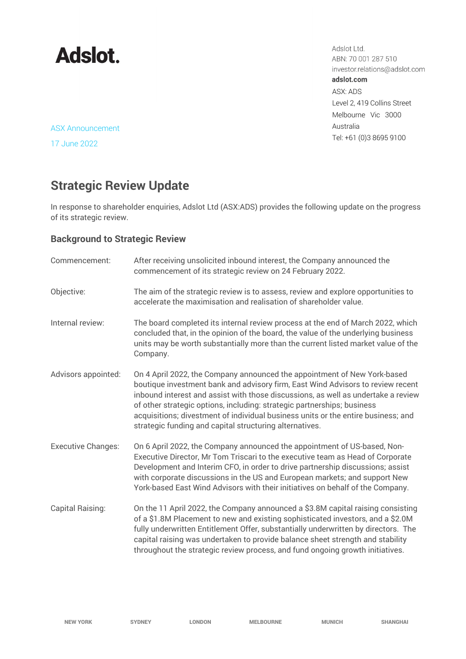

Adslot Ltd. ABN: 70 001 287 510 investor.relations@adslot.com adslot.com ASX: ADS Level 2, 419 Collins Street Melbourne Vic 3000 Australia Tel: +61 (0)3 8695 9100

ASX Announcement

17 June 2022

# **Strategic Review Update**

In response to shareholder enquiries, Adslot Ltd (ASX:ADS) provides the following update on the progress of its strategic review.

### **Background to Strategic Review**

| Commencement:             | After receiving unsolicited inbound interest, the Company announced the<br>commencement of its strategic review on 24 February 2022.                                                                                                                                                                                                                                                                                                                                        |
|---------------------------|-----------------------------------------------------------------------------------------------------------------------------------------------------------------------------------------------------------------------------------------------------------------------------------------------------------------------------------------------------------------------------------------------------------------------------------------------------------------------------|
| Objective:                | The aim of the strategic review is to assess, review and explore opportunities to<br>accelerate the maximisation and realisation of shareholder value.                                                                                                                                                                                                                                                                                                                      |
| Internal review:          | The board completed its internal review process at the end of March 2022, which<br>concluded that, in the opinion of the board, the value of the underlying business<br>units may be worth substantially more than the current listed market value of the<br>Company.                                                                                                                                                                                                       |
| Advisors appointed:       | On 4 April 2022, the Company announced the appointment of New York-based<br>boutique investment bank and advisory firm, East Wind Advisors to review recent<br>inbound interest and assist with those discussions, as well as undertake a review<br>of other strategic options, including: strategic partnerships; business<br>acquisitions; divestment of individual business units or the entire business; and<br>strategic funding and capital structuring alternatives. |
| <b>Executive Changes:</b> | On 6 April 2022, the Company announced the appointment of US-based, Non-<br>Executive Director, Mr Tom Triscari to the executive team as Head of Corporate<br>Development and Interim CFO, in order to drive partnership discussions; assist<br>with corporate discussions in the US and European markets; and support New<br>York-based East Wind Advisors with their initiatives on behalf of the Company.                                                                |
| Capital Raising:          | On the 11 April 2022, the Company announced a \$3.8M capital raising consisting<br>of a \$1.8M Placement to new and existing sophisticated investors, and a \$2.0M<br>fully underwritten Entitlement Offer, substantially underwritten by directors. The<br>capital raising was undertaken to provide balance sheet strength and stability<br>throughout the strategic review process, and fund ongoing growth initiatives.                                                 |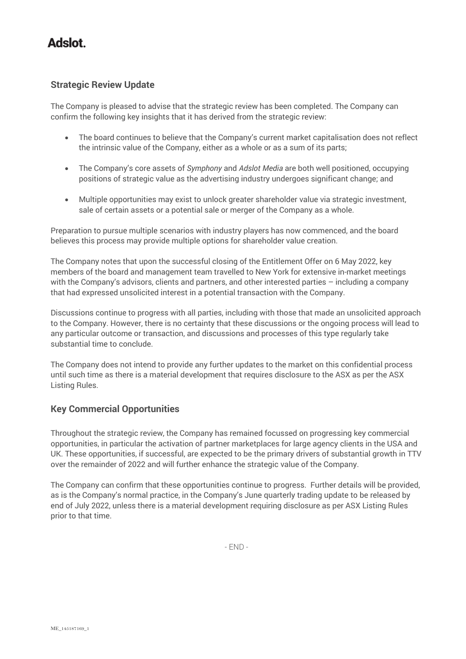### **Adslot**

#### **Strategic Review Update**

The Company is pleased to advise that the strategic review has been completed. The Company can confirm the following key insights that it has derived from the strategic review:

- The board continues to believe that the Company's current market capitalisation does not reflect the intrinsic value of the Company, either as a whole or as a sum of its parts;
- The Company's core assets of *Symphony* and *Adslot Media* are both well positioned, occupying positions of strategic value as the advertising industry undergoes significant change; and
- Multiple opportunities may exist to unlock greater shareholder value via strategic investment, sale of certain assets or a potential sale or merger of the Company as a whole.

Preparation to pursue multiple scenarios with industry players has now commenced, and the board believes this process may provide multiple options for shareholder value creation.

The Company notes that upon the successful closing of the Entitlement Offer on 6 May 2022, key members of the board and management team travelled to New York for extensive in-market meetings with the Company's advisors, clients and partners, and other interested parties – including a company that had expressed unsolicited interest in a potential transaction with the Company.

Discussions continue to progress with all parties, including with those that made an unsolicited approach to the Company. However, there is no certainty that these discussions or the ongoing process will lead to any particular outcome or transaction, and discussions and processes of this type regularly take substantial time to conclude.

The Company does not intend to provide any further updates to the market on this confidential process until such time as there is a material development that requires disclosure to the ASX as per the ASX Listing Rules.

#### **Key Commercial Opportunities**

Throughout the strategic review, the Company has remained focussed on progressing key commercial opportunities, in particular the activation of partner marketplaces for large agency clients in the USA and UK. These opportunities, if successful, are expected to be the primary drivers of substantial growth in TTV over the remainder of 2022 and will further enhance the strategic value of the Company.

The Company can confirm that these opportunities continue to progress. Further details will be provided, as is the Company's normal practice, in the Company's June quarterly trading update to be released by end of July 2022, unless there is a material development requiring disclosure as per ASX Listing Rules prior to that time.

 $FND -$